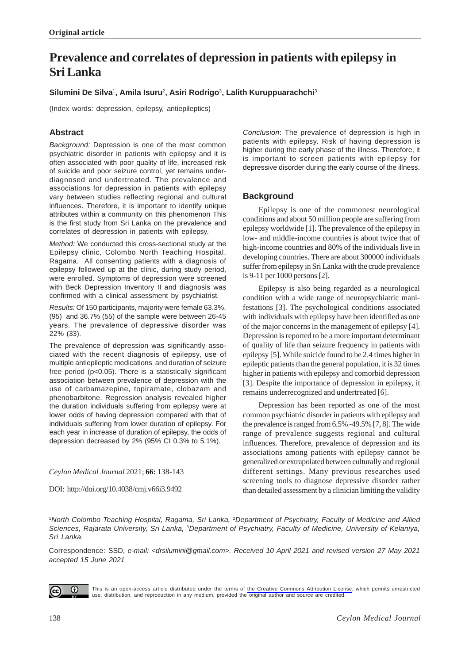# **Prevalence and correlates of depression in patients with epilepsy in Sri Lanka**

# **Silumini De Silva**<sup>1</sup> **, Amila Isuru**2**, Asiri Rodrigo**<sup>3</sup> **, Lalith Kuruppuarachchi**<sup>3</sup>

(Index words: depression, epilepsy, antiepileptics)

# **Abstract**

*Background:* Depression is one of the most common psychiatric disorder in patients with epilepsy and it is often associated with poor quality of life, increased risk of suicide and poor seizure control, yet remains underdiagnosed and undertreated. The prevalence and associations for depression in patients with epilepsy vary between studies reflecting regional and cultural influences. Therefore, it is important to identify unique attributes within a community on this phenomenon This is the first study from Sri Lanka on the prevalence and correlates of depression in patients with epilepsy.

*Method:* We conducted this cross-sectional study at the Epilepsy clinic, Colombo North Teaching Hospital, Ragama. All consenting patients with a diagnosis of epilepsy followed up at the clinic, during study period, were enrolled. Symptoms of depression were screened with Beck Depression Inventory II and diagnosis was confirmed with a clinical assessment by psychiatrist.

*Results:* Of 150 participants, majority were female 63.3%. (95) and 36.7% (55) of the sample were between 26-45 years. The prevalence of depressive disorder was 22% (33).

The prevalence of depression was significantly associated with the recent diagnosis of epilepsy, use of multiple antiepileptic medications and duration of seizure free period (p<0.05). There is a statistically significant association between prevalence of depression with the use of carbamazepine, topiramate, clobazam and phenobarbitone. Regression analysis revealed higher the duration individuals suffering from epilepsy were at lower odds of having depression compared with that of individuals suffering from lower duration of epilepsy. For each year in increase of duration of epilepsy, the odds of depression decreased by 2% (95% CI 0.3% to 5.1%).

### *Ceylon Medical Journal* 2021; **66:** 138-143

DOI: http://doi.org/10.4038/cmj.v66i3.9492

*Conclusion*: The prevalence of depression is high in patients with epilepsy. Risk of having depression is higher during the early phase of the illness. Therefore, it is important to screen patients with epilepsy for depressive disorder during the early course of the illness.

# **Background**

Epilepsy is one of the commonest neurological conditions and about 50 million people are suffering from epilepsy worldwide [1]. The prevalence of the epilepsy in low- and middle-income countries is about twice that of high-income countries and 80% of the individuals live in developing countries. There are about 300000 individuals suffer from epilepsy in Sri Lanka with the crude prevalence is 9-11 per 1000 persons [2].

Epilepsy is also being regarded as a neurological condition with a wide range of neuropsychiatric manifestations [3]. The psychological conditions associated with individuals with epilepsy have been identified as one of the major concerns in the management of epilepsy [4]. Depression is reported to be a more important determinant of quality of life than seizure frequency in patients with epilepsy [5]. While suicide found to be 2.4 times higher in epileptic patients than the general population, it is 32 times higher in patients with epilepsy and comorbid depression [3]. Despite the importance of depression in epilepsy, it remains underrecognized and undertreated [6].

Depression has been reported as one of the most common psychiatric disorder in patients with epilepsy and the prevalence is ranged from 6.5% -49.5% [7, 8]. The wide range of prevalence suggests regional and cultural influences. Therefore, prevalence of depression and its associations among patients with epilepsy cannot be generalized or extrapolated between culturally and regional different settings. Many previous researches used screening tools to diagnose depressive disorder rather than detailed assessment by a clinician limiting the validity

<sup>1</sup>*North Colombo Teaching Hospital, Ragama, Sri Lanka,* <sup>2</sup> *Department of Psychiatry, Faculty of Medicine and Allied Sciences, Rajarata University, Sri Lanka,* 3*Department of Psychiatry, Faculty of Medicine, University of Kelaniya, Sri Lanka.*

Correspondence: SSD, *e-mail: <drsilumini@gmail.com>. Received 10 April 2021 and revised version 27 May 2021 accepted 15 June 2021*



This is an open-access article distributed under the terms of [the Creative Commons Attribution License](https://creativecommons.org/licenses/by/4.0/legalcode), which permits unrestricted use, distribution, and reproduction in any medium, provided the original author and source are credited.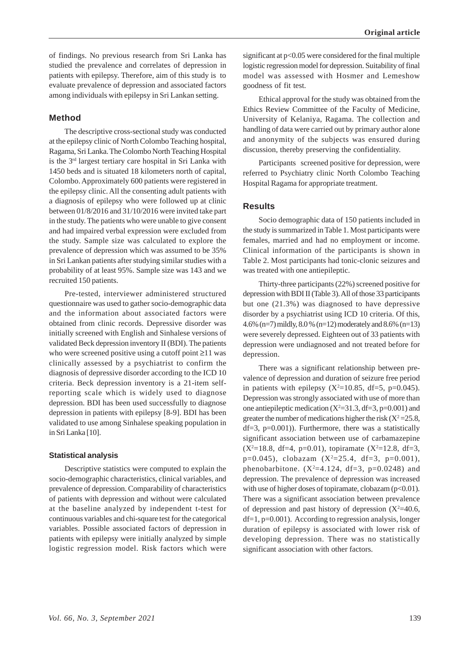of findings. No previous research from Sri Lanka has studied the prevalence and correlates of depression in patients with epilepsy. Therefore, aim of this study is to evaluate prevalence of depression and associated factors among individuals with epilepsy in Sri Lankan setting.

# **Method**

The descriptive cross-sectional study was conducted at the epilepsy clinic of North Colombo Teaching hospital, Ragama, Sri Lanka. The Colombo North Teaching Hospital is the 3rd largest tertiary care hospital in Sri Lanka with 1450 beds and is situated 18 kilometers north of capital, Colombo. Approximately 600 patients were registered in the epilepsy clinic. All the consenting adult patients with a diagnosis of epilepsy who were followed up at clinic between 01/8/2016 and 31/10/2016 were invited take part in the study. The patients who were unable to give consent and had impaired verbal expression were excluded from the study. Sample size was calculated to explore the prevalence of depression which was assumed to be 35% in Sri Lankan patients after studying similar studies with a probability of at least 95%. Sample size was 143 and we recruited 150 patients.

Pre-tested, interviewer administered structured questionnaire was used to gather socio-demographic data and the information about associated factors were obtained from clinic records. Depressive disorder was initially screened with English and Sinhalese versions of validated Beck depression inventory II (BDI). The patients who were screened positive using a cutoff point ≥11 was clinically assessed by a psychiatrist to confirm the diagnosis of depressive disorder according to the ICD 10 criteria. Beck depression inventory is a 21-item selfreporting scale which is widely used to diagnose depression. BDI has been used successfully to diagnose depression in patients with epilepsy [8-9]. BDI has been validated to use among Sinhalese speaking population in in Sri Lanka [10].

#### **Statistical analysis**

Descriptive statistics were computed to explain the socio-demographic characteristics, clinical variables, and prevalence of depression. Comparability of characteristics of patients with depression and without were calculated at the baseline analyzed by independent t-test for continuous variables and chi-square test for the categorical variables. Possible associated factors of depression in patients with epilepsy were initially analyzed by simple logistic regression model. Risk factors which were

significant at p<0.05 were considered for the final multiple logistic regression model for depression. Suitability of final model was assessed with Hosmer and Lemeshow goodness of fit test.

Ethical approval for the study was obtained from the Ethics Review Committee of the Faculty of Medicine, University of Kelaniya, Ragama. The collection and handling of data were carried out by primary author alone and anonymity of the subjects was ensured during discussion, thereby preserving the confidentiality.

Participants screened positive for depression, were referred to Psychiatry clinic North Colombo Teaching Hospital Ragama for appropriate treatment.

### **Results**

Socio demographic data of 150 patients included in the study is summarized in Table 1. Most participants were females, married and had no employment or income. Clinical information of the participants is shown in Table 2. Most participants had tonic-clonic seizures and was treated with one antiepileptic.

Thirty-three participants (22%) screened positive for depression with BDI II (Table 3). All of those 33 participants but one (21.3%) was diagnosed to have depressive disorder by a psychiatrist using ICD 10 criteria. Of this, 4.6% (n=7) mildly, 8.0 % (n=12) moderately and 8.6% (n=13) were severely depressed. Eighteen out of 33 patients with depression were undiagnosed and not treated before for depression.

There was a significant relationship between prevalence of depression and duration of seizure free period in patients with epilepsy  $(X^2=10.85, df=5, p=0.045)$ . Depression was strongly associated with use of more than one antiepileptic medication  $(X^2=31.3, df=3, p=0.001)$  and greater the number of medications higher the risk  $(X^2=25.8,$  $df=3$ ,  $p=0.001$ )). Furthermore, there was a statistically significant association between use of carbamazepine  $(X^2=18.8, df=4, p=0.01)$ , topiramate  $(X^2=12.8, df=3,$  $p=0.045$ ), clobazam (X<sup>2</sup>=25.4, df=3, p=0.001), phenobarbitone.  $(X^2=4.124, df=3, p=0.0248)$  and depression. The prevalence of depression was increased with use of higher doses of topiramate, clobazam ( $p<0.01$ ). There was a significant association between prevalence of depression and past history of depression  $(X^2=40.6,$ df=1, p=0.001). According to regression analysis, longer duration of epilepsy is associated with lower risk of developing depression. There was no statistically significant association with other factors.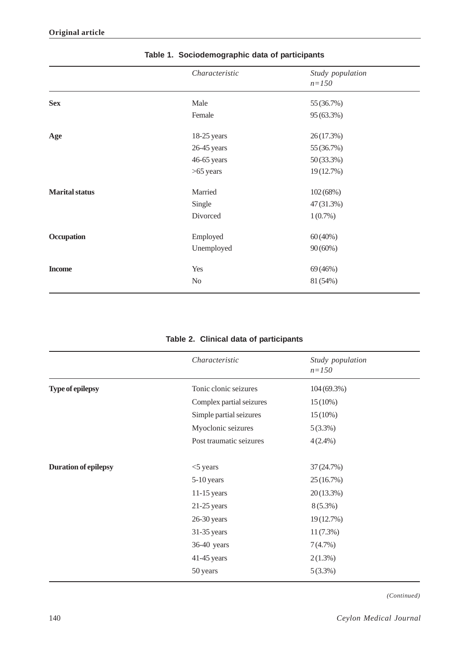|                       | Characteristic | Study population<br>$n = 150$ |
|-----------------------|----------------|-------------------------------|
| <b>Sex</b>            | Male           | 55 (36.7%)                    |
|                       | Female         | 95 (63.3%)                    |
| Age                   | 18-25 years    | 26(17.3%)                     |
|                       | 26-45 years    | 55 (36.7%)                    |
|                       | 46-65 years    | 50(33.3%)                     |
|                       | $>65$ years    | 19(12.7%)                     |
| <b>Marital status</b> | Married        | 102(68%)                      |
|                       | Single         | 47(31.3%)                     |
|                       | Divorced       | $1(0.7\%)$                    |
| Occupation            | Employed       | $60(40\%)$                    |
|                       | Unemployed     | $90(60\%)$                    |
| <b>Income</b>         | Yes            | 69 (46%)                      |
|                       | No             | 81 (54%)                      |

# **Table 1. Sociodemographic data of participants**

# **Table 2. Clinical data of participants**

|                             | Characteristic           | Study population<br>$n = 150$ |
|-----------------------------|--------------------------|-------------------------------|
| <b>Type of epilepsy</b>     | Tonic clonic seizures    | $104(69.3\%)$                 |
|                             | Complex partial seizures | $15(10\%)$                    |
|                             | Simple partial seizures  | $15(10\%)$                    |
|                             | Myoclonic seizures       | 5(3.3%)                       |
|                             | Post traumatic seizures  | $4(2.4\%)$                    |
| <b>Duration of epilepsy</b> | $<$ 5 years              | 37 (24.7%)                    |
|                             | 5-10 years               | 25(16.7%)                     |
|                             | $11-15$ years            | 20(13.3%)                     |
|                             | $21-25$ years            | $8(5.3\%)$                    |
|                             | $26-30$ years            | 19(12.7%)                     |
|                             | 31-35 years              | $11(7.3\%)$                   |
|                             | 36-40 years              | 7(4.7%)                       |
|                             | $41-45$ years            | $2(1.3\%)$                    |
|                             | 50 years                 | $5(3.3\%)$                    |

*(Continued)*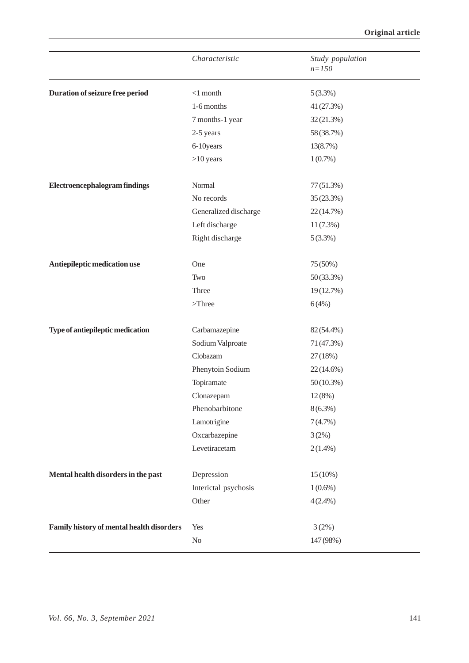|                                           | Characteristic        | Study population<br>$n = 150$ |
|-------------------------------------------|-----------------------|-------------------------------|
| Duration of seizure free period           | $<$ 1 month           | $5(3.3\%)$                    |
|                                           | 1-6 months            | 41 (27.3%)                    |
|                                           | 7 months-1 year       | 32 (21.3%)                    |
|                                           | 2-5 years             | 58 (38.7%)                    |
|                                           | 6-10years             | 13(8.7%)                      |
|                                           | $>10$ years           | $1(0.7\%)$                    |
| <b>Electroencephalogram findings</b>      | Normal                | 77 (51.3%)                    |
|                                           | No records            | 35 (23.3%)                    |
|                                           | Generalized discharge | 22 (14.7%)                    |
|                                           | Left discharge        | $11(7.3\%)$                   |
|                                           | Right discharge       | $5(3.3\%)$                    |
| Antiepileptic medication use              | One                   | 75 (50%)                      |
|                                           | Two                   | 50 (33.3%)                    |
|                                           | Three                 | 19(12.7%)                     |
|                                           | $>\!\!$ Three         | 6(4%)                         |
| Type of antiepileptic medication          | Carbamazepine         | 82 (54.4%)                    |
|                                           | Sodium Valproate      | 71 (47.3%)                    |
|                                           | Clobazam              | 27(18%)                       |
|                                           | Phenytoin Sodium      | 22(14.6%)                     |
|                                           | Topiramate            | $50(10.3\%)$                  |
|                                           | Clonazepam            | $12(8\%)$                     |
|                                           | Phenobarbitone        | $8(6.3\%)$                    |
|                                           | Lamotrigine           | 7(4.7%)                       |
|                                           | Oxcarbazepine         | 3(2%)                         |
|                                           | Levetiracetam         | $2(1.4\%)$                    |
| Mental health disorders in the past       | Depression            | $15(10\%)$                    |
|                                           | Interictal psychosis  | $1(0.6\%)$                    |
|                                           | Other                 | $4(2.4\%)$                    |
| Family history of mental health disorders | Yes                   | 3(2%)                         |
|                                           | $\rm No$              | 147 (98%)                     |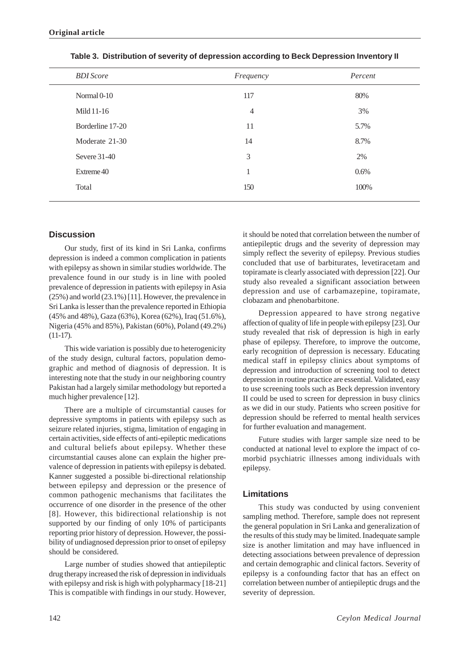| <b>BDI</b> Score | Frequency      | Percent |
|------------------|----------------|---------|
| Normal 0-10      | 117            | 80%     |
| Mild 11-16       | $\overline{4}$ | 3%      |
| Borderline 17-20 | 11             | 5.7%    |
| Moderate 21-30   | 14             | 8.7%    |
| Severe $31-40$   | 3              | 2%      |
| Extreme 40       | $\mathbf{1}$   | 0.6%    |
| Total            | 150            | 100%    |
|                  |                |         |

**Table 3. Distribution of severity of depression according to Beck Depression Inventory II**

# **Discussion**

Our study, first of its kind in Sri Lanka, confirms depression is indeed a common complication in patients with epilepsy as shown in similar studies worldwide. The prevalence found in our study is in line with pooled prevalence of depression in patients with epilepsy in Asia (25%) and world (23.1%) [11]. However, the prevalence in Sri Lanka is lesser than the prevalence reported in Ethiopia (45% and 48%), Gaza (63%), Korea (62%), Iraq (51.6%), Nigeria (45% and 85%), Pakistan (60%), Poland (49.2%) (11-17).

This wide variation is possibly due to heterogenicity of the study design, cultural factors, population demographic and method of diagnosis of depression. It is interesting note that the study in our neighboring country Pakistan had a largely similar methodology but reported a much higher prevalence [12].

There are a multiple of circumstantial causes for depressive symptoms in patients with epilepsy such as seizure related injuries, stigma, limitation of engaging in certain activities, side effects of anti-epileptic medications and cultural beliefs about epilepsy. Whether these circumstantial causes alone can explain the higher prevalence of depression in patients with epilepsy is debated. Kanner suggested a possible bi-directional relationship between epilepsy and depression or the presence of common pathogenic mechanisms that facilitates the occurrence of one disorder in the presence of the other [8]. However, this bidirectional relationship is not supported by our finding of only 10% of participants reporting prior history of depression. However, the possibility of undiagnosed depression prior to onset of epilepsy should be considered.

Large number of studies showed that antiepileptic drug therapy increased the risk of depression in individuals with epilepsy and risk is high with polypharmacy [18-21] This is compatible with findings in our study. However, it should be noted that correlation between the number of antiepileptic drugs and the severity of depression may simply reflect the severity of epilepsy. Previous studies concluded that use of barbiturates, levetiracetam and topiramate is clearly associated with depression [22]. Our study also revealed a significant association between depression and use of carbamazepine, topiramate, clobazam and phenobarbitone.

Depression appeared to have strong negative affection of quality of life in people with epilepsy [23]. Our study revealed that risk of depression is high in early phase of epilepsy. Therefore, to improve the outcome, early recognition of depression is necessary. Educating medical staff in epilepsy clinics about symptoms of depression and introduction of screening tool to detect depression in routine practice are essential. Validated, easy to use screening tools such as Beck depression inventory II could be used to screen for depression in busy clinics as we did in our study. Patients who screen positive for depression should be referred to mental health services for further evaluation and management.

Future studies with larger sample size need to be conducted at national level to explore the impact of comorbid psychiatric illnesses among individuals with epilepsy.

### **Limitations**

This study was conducted by using convenient sampling method. Therefore, sample does not represent the general population in Sri Lanka and generalization of the results of this study may be limited. Inadequate sample size is another limitation and may have influenced in detecting associations between prevalence of depression and certain demographic and clinical factors. Severity of epilepsy is a confounding factor that has an effect on correlation between number of antiepileptic drugs and the severity of depression.